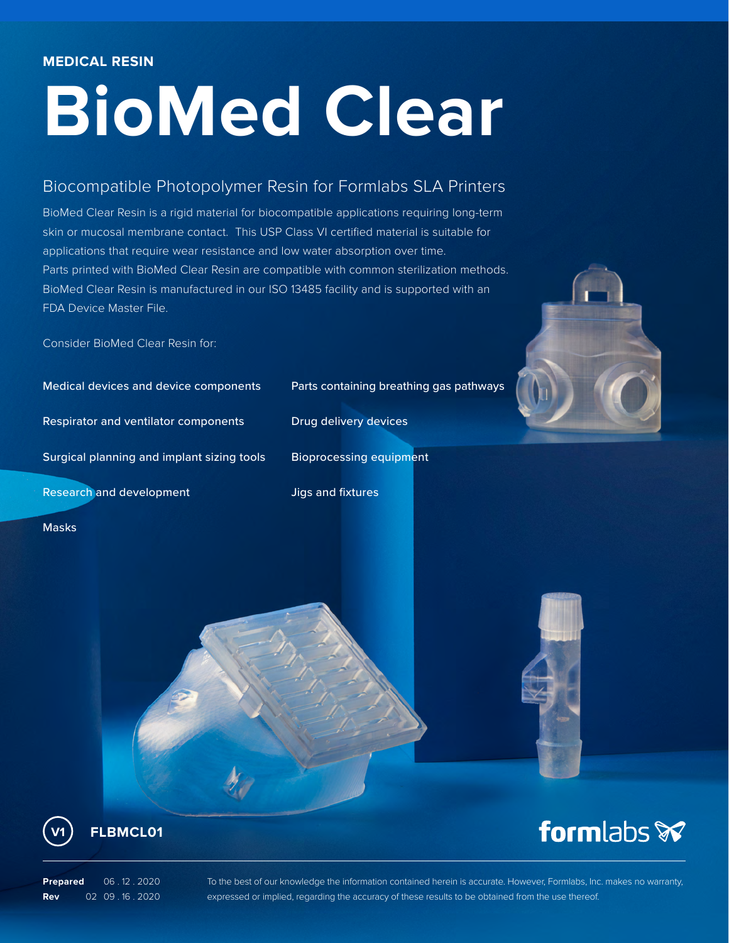# **BioMed Clear**

# Biocompatible Photopolymer Resin for Formlabs SLA Printers

BioMed Clear Resin is a rigid material for biocompatible applications requiring long-term skin or mucosal membrane contact. This USP Class VI certified material is suitable for applications that require wear resistance and low water absorption over time. Parts printed with BioMed Clear Resin are compatible with common sterilization methods. BioMed Clear Resin is manufactured in our ISO 13485 facility and is supported with an FDA Device Master File.

Consider BioMed Clear Resin for:

Medical devices and device components Parts containing breathing gas pathways Respirator and ventilator components Drug delivery devices Surgical planning and implant sizing tools Bioprocessing equipment Research and development and Jigs and fixtures

**FLBMCL01**

**Prepared** 06 . 12 . 2020 **Rev** 02 09 . 16 . 2020

To the best of our knowledge the information contained herein is accurate. However, Formlabs, Inc. makes no warranty, expressed or implied, regarding the accuracy of these results to be obtained from the use thereof.





Masks



formlabs **x**